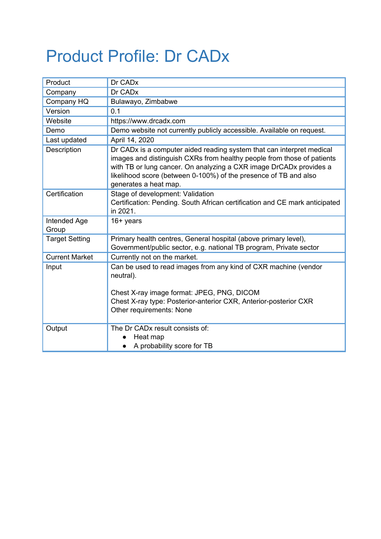## Product Profile: Dr CADx

| Product               | Dr CADx                                                                                                                                                                                                                                                                                                            |
|-----------------------|--------------------------------------------------------------------------------------------------------------------------------------------------------------------------------------------------------------------------------------------------------------------------------------------------------------------|
| Company               | Dr CAD <sub>x</sub>                                                                                                                                                                                                                                                                                                |
| Company HQ            | Bulawayo, Zimbabwe                                                                                                                                                                                                                                                                                                 |
| Version               | 0.1                                                                                                                                                                                                                                                                                                                |
| Website               | https://www.drcadx.com                                                                                                                                                                                                                                                                                             |
| Demo                  | Demo website not currently publicly accessible. Available on request.                                                                                                                                                                                                                                              |
| Last updated          | April 14, 2020                                                                                                                                                                                                                                                                                                     |
| Description           | Dr CADx is a computer aided reading system that can interpret medical<br>images and distinguish CXRs from healthy people from those of patients<br>with TB or lung cancer. On analyzing a CXR image DrCADx provides a<br>likelihood score (between 0-100%) of the presence of TB and also<br>generates a heat map. |
| Certification         | Stage of development: Validation<br>Certification: Pending. South African certification and CE mark anticipated<br>in 2021.                                                                                                                                                                                        |
| Intended Age<br>Group | $16+$ years                                                                                                                                                                                                                                                                                                        |
| <b>Target Setting</b> | Primary health centres, General hospital (above primary level),<br>Government/public sector, e.g. national TB program, Private sector                                                                                                                                                                              |
| <b>Current Market</b> | Currently not on the market.                                                                                                                                                                                                                                                                                       |
| Input                 | Can be used to read images from any kind of CXR machine (vendor<br>neutral).                                                                                                                                                                                                                                       |
|                       | Chest X-ray image format: JPEG, PNG, DICOM<br>Chest X-ray type: Posterior-anterior CXR, Anterior-posterior CXR<br>Other requirements: None                                                                                                                                                                         |
| Output                | The Dr CAD <sub>x</sub> result consists of:<br>Heat map<br>A probability score for TB<br>$\bullet$                                                                                                                                                                                                                 |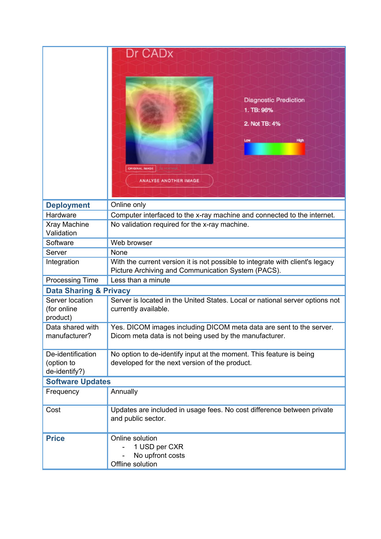|                                                  | Dr CADx<br><b>Diagnostic Prediction</b><br>1. TB: 96%<br>2. Not TB: 4%<br>Low<br>High<br><b>ORIGINAL IMAGE</b><br><b>ANALYSE ANOTHER IMAGE</b> |  |
|--------------------------------------------------|------------------------------------------------------------------------------------------------------------------------------------------------|--|
| <b>Deployment</b>                                | Online only                                                                                                                                    |  |
| Hardware                                         | Computer interfaced to the x-ray machine and connected to the internet.                                                                        |  |
| Xray Machine<br>Validation                       | No validation required for the x-ray machine.                                                                                                  |  |
| Software                                         | Web browser                                                                                                                                    |  |
| Server                                           | None                                                                                                                                           |  |
| Integration                                      | With the current version it is not possible to integrate with client's legacy<br>Picture Archiving and Communication System (PACS).            |  |
| <b>Processing Time</b>                           | Less than a minute                                                                                                                             |  |
| <b>Data Sharing &amp; Privacy</b>                |                                                                                                                                                |  |
| Server location<br>(for online<br>product)       | Server is located in the United States. Local or national server options not<br>currently available.                                           |  |
| Data shared with<br>manufacturer?                | Yes. DICOM images including DICOM meta data are sent to the server.<br>Dicom meta data is not being used by the manufacturer.                  |  |
| De-identification<br>(option to<br>de-identify?) | No option to de-identify input at the moment. This feature is being<br>developed for the next version of the product.                          |  |
| <b>Software Updates</b>                          |                                                                                                                                                |  |
| Frequency                                        | Annually                                                                                                                                       |  |
| Cost                                             | Updates are included in usage fees. No cost difference between private<br>and public sector.                                                   |  |
| <b>Price</b>                                     | Online solution<br>1 USD per CXR<br>No upfront costs<br>Offline solution                                                                       |  |